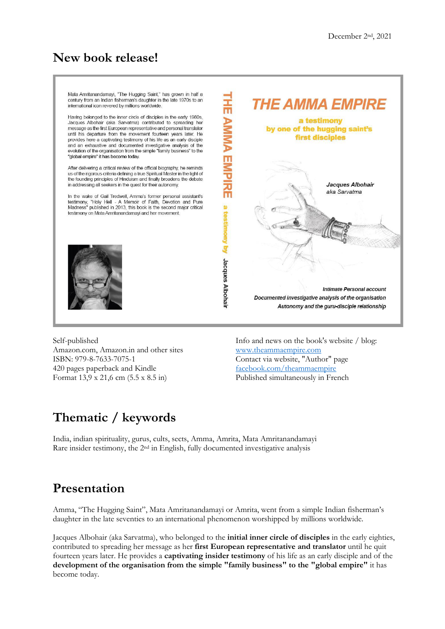## **New book release!**



Self-published Amazon.com, Amazon.in and other sites ISBN: 979-8-7633-7075-1 420 pages paperback and Kindle Format 13,9 x 21,6 cm (5.5 x 8.5 in)

Info and news on the book's website / blog: [www.theammaempire.com](http://www.theammaempire.com/) Contact via website, "Author" page facebook.com/theammaempire Published simultaneously in French

# **Thematic / keywords**

India, indian spirituality, gurus, cults, sects, Amma, Amrita, Mata Amritanandamayi Rare insider testimony, the 2<sup>nd</sup> in English, fully documented investigative analysis

## **Presentation**

Amma, "The Hugging Saint", Mata Amritanandamayi or Amrita, went from a simple Indian fisherman's daughter in the late seventies to an international phenomenon worshipped by millions worldwide.

Jacques Albohair (aka Sarvatma), who belonged to the **initial inner circle of disciples** in the early eighties, contributed to spreading her message as her **first European representative and translator** until he quit fourteen years later. He provides a **captivating insider testimony** of his life as an early disciple and of the **development of the organisation from the simple "family business" to the "global empire"** it has become today.